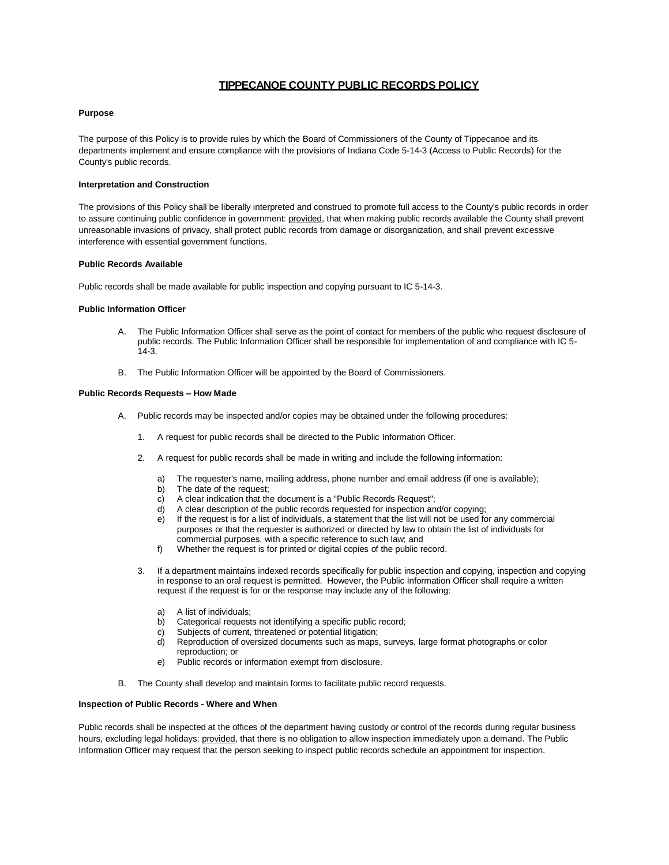# **TIPPECANOE COUNTY PUBLIC RECORDS POLICY**

# **Purpose**

The purpose of this Policy is to provide rules by which the Board of Commissioners of the County of Tippecanoe and its departments implement and ensure compliance with the provisions of Indiana Code 5-14-3 (Access to Public Records) for the County's public records.

### **Interpretation and Construction**

The provisions of this Policy shall be liberally interpreted and construed to promote full access to the County's public records in order to assure continuing public confidence in government: provided, that when making public records available the County shall prevent unreasonable invasions of privacy, shall protect public records from damage or disorganization, and shall prevent excessive interference with essential government functions.

## **Public Records Available**

Public records shall be made available for public inspection and copying pursuant to IC 5-14-3.

### **Public Information Officer**

- A. The Public Information Officer shall serve as the point of contact for members of the public who request disclosure of public records. The Public Information Officer shall be responsible for implementation of and compliance with IC 5- 14-3.
- B. The Public Information Officer will be appointed by the Board of Commissioners.

### **Public Records Requests – How Made**

- A. Public records may be inspected and/or copies may be obtained under the following procedures:
	- 1. A request for public records shall be directed to the Public Information Officer.
	- 2. A request for public records shall be made in writing and include the following information:
		- a) The requester's name, mailing address, phone number and email address (if one is available);
		- b) The date of the request:
		- c) A clear indication that the document is a "Public Records Request";
		- d) A clear description of the public records requested for inspection and/or copying;
		- e) If the request is for a list of individuals, a statement that the list will not be used for any commercial purposes or that the requester is authorized or directed by law to obtain the list of individuals for commercial purposes, with a specific reference to such law; and
		- f) Whether the request is for printed or digital copies of the public record.
	- 3. If a department maintains indexed records specifically for public inspection and copying, inspection and copying in response to an oral request is permitted. However, the Public Information Officer shall require a written request if the request is for or the response may include any of the following:
		- a) A list of individuals;
		- b) Categorical requests not identifying a specific public record;
		- c) Subjects of current, threatened or potential litigation;
		- d) Reproduction of oversized documents such as maps, surveys, large format photographs or color reproduction; or
		- e) Public records or information exempt from disclosure.
- B. The County shall develop and maintain forms to facilitate public record requests.

# **Inspection of Public Records - Where and When**

Public records shall be inspected at the offices of the department having custody or control of the records during regular business hours, excluding legal holidays: provided, that there is no obligation to allow inspection immediately upon a demand. The Public Information Officer may request that the person seeking to inspect public records schedule an appointment for inspection.